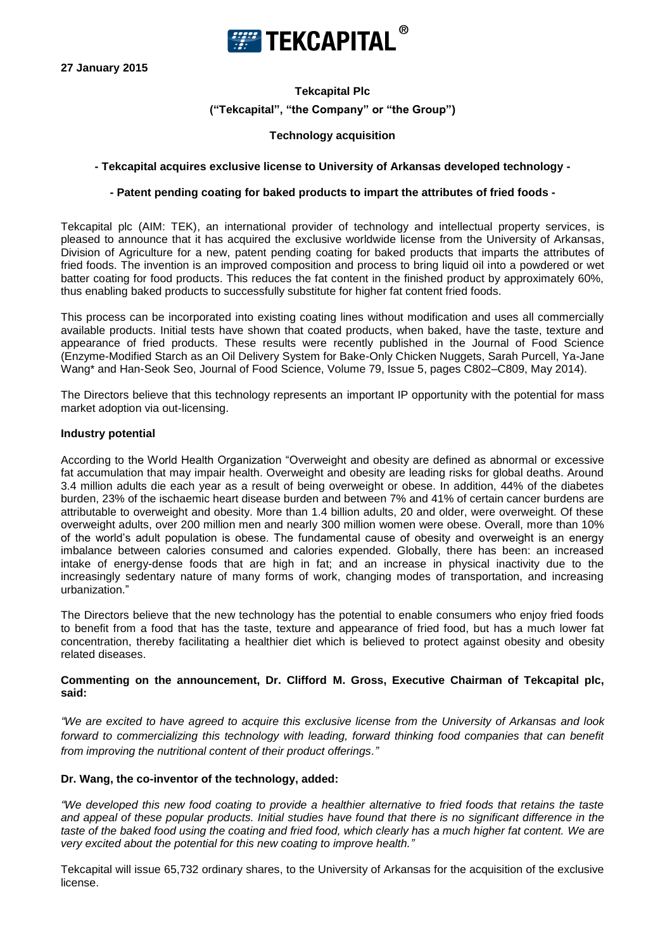

**27 January 2015**

# **Tekcapital Plc ("Tekcapital", "the Company" or "the Group")**

# **Technology acquisition**

### **- Tekcapital acquires exclusive license to University of Arkansas developed technology -**

## **- Patent pending coating for baked products to impart the attributes of fried foods -**

Tekcapital plc (AIM: TEK), an international provider of technology and intellectual property services, is pleased to announce that it has acquired the exclusive worldwide license from the University of Arkansas, Division of Agriculture for a new, patent pending coating for baked products that imparts the attributes of fried foods. The invention is an improved composition and process to bring liquid oil into a powdered or wet batter coating for food products. This reduces the fat content in the finished product by approximately 60%, thus enabling baked products to successfully substitute for higher fat content fried foods.

This process can be incorporated into existing coating lines without modification and uses all commercially available products. Initial tests have shown that coated products, when baked, have the taste, texture and appearance of fried products. These results were recently published in the Journal of Food Science (Enzyme-Modified Starch as an Oil Delivery System for Bake-Only Chicken Nuggets, Sarah Purcell, Ya-Jane Wang\* and Han-Seok Seo, Journal of Food Science, Volume 79, Issue 5, pages C802–C809, May 2014).

The Directors believe that this technology represents an important IP opportunity with the potential for mass market adoption via out-licensing.

#### **Industry potential**

According to the World Health Organization "Overweight and obesity are defined as abnormal or excessive fat accumulation that may impair health. Overweight and obesity are leading risks for global deaths. Around 3.4 million adults die each year as a result of being overweight or obese. In addition, 44% of the diabetes burden, 23% of the ischaemic heart disease burden and between 7% and 41% of certain cancer burdens are attributable to overweight and obesity. More than 1.4 billion adults, 20 and older, were overweight. Of these overweight adults, over 200 million men and nearly 300 million women were obese. Overall, more than 10% of the world's adult population is obese. The fundamental cause of obesity and overweight is an energy imbalance between calories consumed and calories expended. Globally, there has been: an increased intake of energy-dense foods that are high in fat; and an increase in physical inactivity due to the increasingly sedentary nature of many forms of work, changing modes of transportation, and increasing urbanization."

The Directors believe that the new technology has the potential to enable consumers who enjoy fried foods to benefit from a food that has the taste, texture and appearance of fried food, but has a much lower fat concentration, thereby facilitating a healthier diet which is believed to protect against obesity and obesity related diseases.

### **Commenting on the announcement, Dr. Clifford M. Gross, Executive Chairman of Tekcapital plc, said:**

*"We are excited to have agreed to acquire this exclusive license from the University of Arkansas and look forward to commercializing this technology with leading, forward thinking food companies that can benefit from improving the nutritional content of their product offerings."* 

### **Dr. Wang, the co-inventor of the technology, added:**

*"We developed this new food coating to provide a healthier alternative to fried foods that retains the taste and appeal of these popular products. Initial studies have found that there is no significant difference in the taste of the baked food using the coating and fried food, which clearly has a much higher fat content. We are very excited about the potential for this new coating to improve health."*

Tekcapital will issue 65,732 ordinary shares, to the University of Arkansas for the acquisition of the exclusive license.